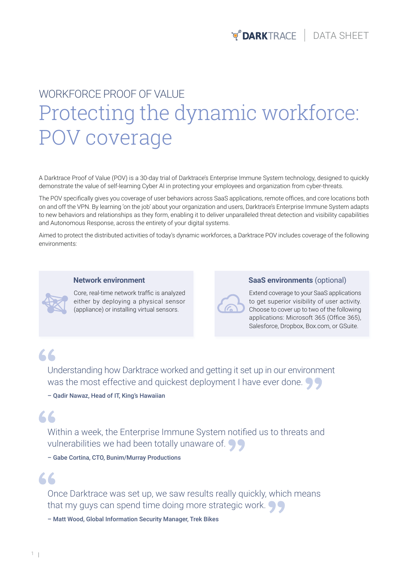## Protecting the dynamic workforce: POV coverage WORKFORCE PROOF OF VALUE

A Darktrace Proof of Value (POV) is a 30-day trial of Darktrace's Enterprise Immune System technology, designed to quickly demonstrate the value of self-learning Cyber AI in protecting your employees and organization from cyber-threats.

The POV specifically gives you coverage of user behaviors across SaaS applications, remote offices, and core locations both on and off the VPN. By learning 'on the job' about your organization and users, Darktrace's Enterprise Immune System adapts to new behaviors and relationships as they form, enabling it to deliver unparalleled threat detection and visibility capabilities and Autonomous Response, across the entirety of your digital systems.

Aimed to protect the distributed activities of today's dynamic workforces, a Darktrace POV includes coverage of the following environments:

#### **Network environment**



Core, real-time network traffic is analyzed either by deploying a physical sensor (appliance) or installing virtual sensors.

**SaaS environments** (optional)

Extend coverage to your SaaS applications to get superior visibility of user activity. Choose to cover up to two of the following applications: Microsoft 365 (Office 365), Salesforce, Dropbox, Box.com, or GSuite.

### 66

Understanding how Darktrace worked and getting it set up in our environment was the most effective and quickest deployment I have ever done.

– Qadir Nawaz, Head of IT, King's Hawaiian

#### $66$

Within a week, the Enterprise Immune System notified us to threats and vulnerabilities we had been totally unaware of.

– Gabe Cortina, CTO, Bunim/Murray Productions

#### $\overline{2}$

Once Darktrace was set up, we saw results really quickly, which means that my guys can spend time doing more strategic work.  $\bigcirc$ 

– Matt Wood, Global Information Security Manager, Trek Bikes